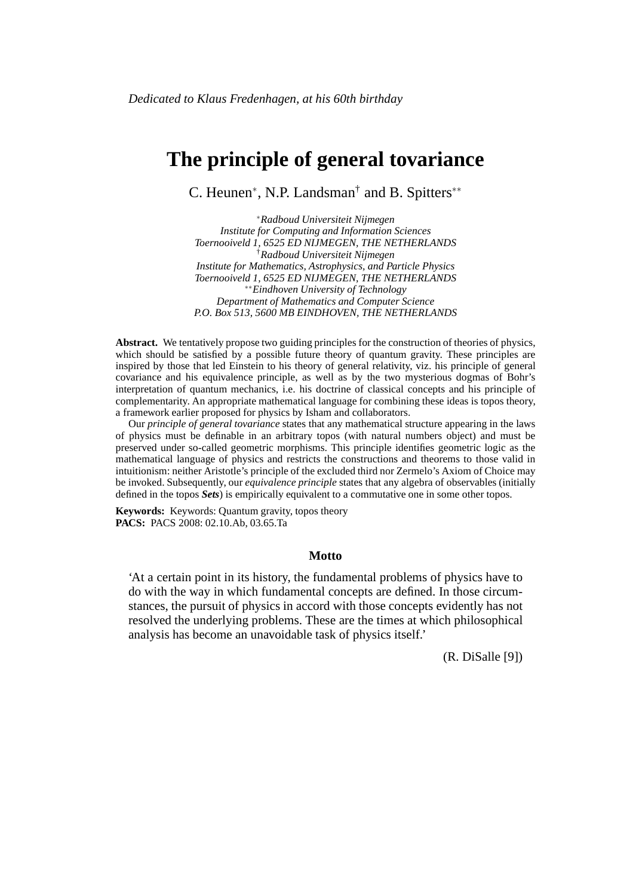# **The principle of general tovariance**

C. Heunen<sup>\*</sup>, N.P. Landsman<sup>†</sup> and B. Spitters<sup>\*\*</sup>

<sup>∗</sup>*Radboud Universiteit Nijmegen Institute for Computing and Information Sciences Toernooiveld 1, 6525 ED NIJMEGEN, THE NETHERLANDS* †*Radboud Universiteit Nijmegen Institute for Mathematics, Astrophysics, and Particle Physics Toernooiveld 1, 6525 ED NIJMEGEN, THE NETHERLANDS* ∗∗*Eindhoven University of Technology Department of Mathematics and Computer Science P.O. Box 513, 5600 MB EINDHOVEN, THE NETHERLANDS*

**Abstract.** We tentatively propose two guiding principles for the construction of theories of physics, which should be satisfied by a possible future theory of quantum gravity. These principles are inspired by those that led Einstein to his theory of general relativity, viz. his principle of general covariance and his equivalence principle, as well as by the two mysterious dogmas of Bohr's interpretation of quantum mechanics, i.e. his doctrine of classical concepts and his principle of complementarity. An appropriate mathematical language for combining these ideas is topos theory, a framework earlier proposed for physics by Isham and collaborators.

Our *principle of general tovariance* states that any mathematical structure appearing in the laws of physics must be definable in an arbitrary topos (with natural numbers object) and must be preserved under so-called geometric morphisms. This principle identifies geometric logic as the mathematical language of physics and restricts the constructions and theorems to those valid in intuitionism: neither Aristotle's principle of the excluded third nor Zermelo's Axiom of Choice may be invoked. Subsequently, our *equivalence principle* states that any algebra of observables (initially defined in the topos *Sets*) is empirically equivalent to a commutative one in some other topos.

**Keywords:** Keywords: Quantum gravity, topos theory **PACS:** PACS 2008: 02.10.Ab, 03.65.Ta

#### **Motto**

'At a certain point in its history, the fundamental problems of physics have to do with the way in which fundamental concepts are defined. In those circumstances, the pursuit of physics in accord with those concepts evidently has not resolved the underlying problems. These are the times at which philosophical analysis has become an unavoidable task of physics itself.'

(R. DiSalle [9])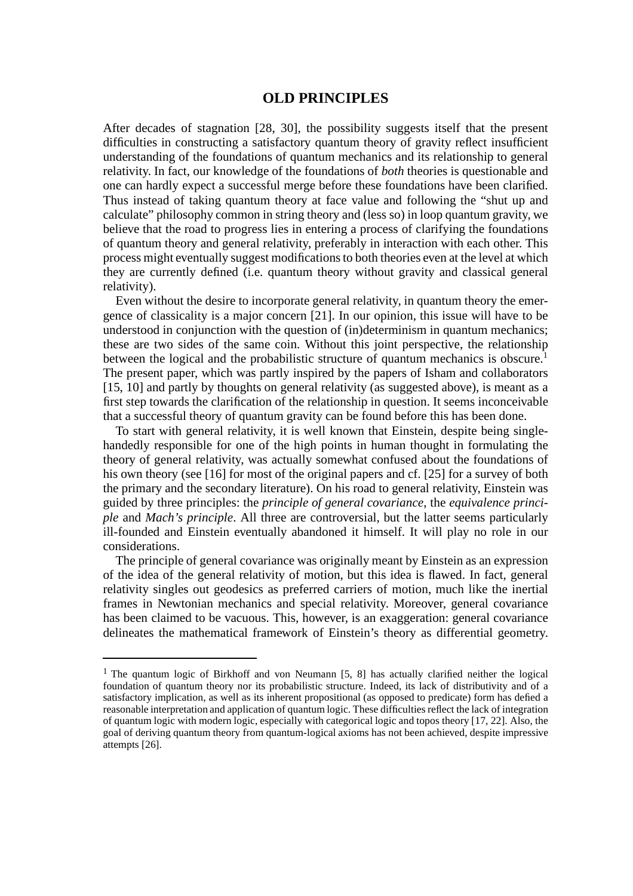### **OLD PRINCIPLES**

After decades of stagnation [28, 30], the possibility suggests itself that the present difficulties in constructing a satisfactory quantum theory of gravity reflect insufficient understanding of the foundations of quantum mechanics and its relationship to general relativity. In fact, our knowledge of the foundations of *both* theories is questionable and one can hardly expect a successful merge before these foundations have been clarified. Thus instead of taking quantum theory at face value and following the "shut up and calculate" philosophy common in string theory and (less so) in loop quantum gravity, we believe that the road to progress lies in entering a process of clarifying the foundations of quantum theory and general relativity, preferably in interaction with each other. This process might eventually suggest modifications to both theories even at the level at which they are currently defined (i.e. quantum theory without gravity and classical general relativity).

Even without the desire to incorporate general relativity, in quantum theory the emergence of classicality is a major concern [21]. In our opinion, this issue will have to be understood in conjunction with the question of (in)determinism in quantum mechanics; these are two sides of the same coin. Without this joint perspective, the relationship between the logical and the probabilistic structure of quantum mechanics is obscure.<sup>1</sup> The present paper, which was partly inspired by the papers of Isham and collaborators [15, 10] and partly by thoughts on general relativity (as suggested above), is meant as a first step towards the clarification of the relationship in question. It seems inconceivable that a successful theory of quantum gravity can be found before this has been done.

To start with general relativity, it is well known that Einstein, despite being singlehandedly responsible for one of the high points in human thought in formulating the theory of general relativity, was actually somewhat confused about the foundations of his own theory (see [16] for most of the original papers and cf. [25] for a survey of both the primary and the secondary literature). On his road to general relativity, Einstein was guided by three principles: the *principle of general covariance*, the *equivalence principle* and *Mach's principle*. All three are controversial, but the latter seems particularly ill-founded and Einstein eventually abandoned it himself. It will play no role in our considerations.

The principle of general covariance was originally meant by Einstein as an expression of the idea of the general relativity of motion, but this idea is flawed. In fact, general relativity singles out geodesics as preferred carriers of motion, much like the inertial frames in Newtonian mechanics and special relativity. Moreover, general covariance has been claimed to be vacuous. This, however, is an exaggeration: general covariance delineates the mathematical framework of Einstein's theory as differential geometry.

<sup>&</sup>lt;sup>1</sup> The quantum logic of Birkhoff and von Neumann  $[5, 8]$  has actually clarified neither the logical foundation of quantum theory nor its probabilistic structure. Indeed, its lack of distributivity and of a satisfactory implication, as well as its inherent propositional (as opposed to predicate) form has defied a reasonable interpretation and application of quantum logic. These difficulties reflect the lack of integration of quantum logic with modern logic, especially with categorical logic and topos theory [17, 22]. Also, the goal of deriving quantum theory from quantum-logical axioms has not been achieved, despite impressive attempts [26].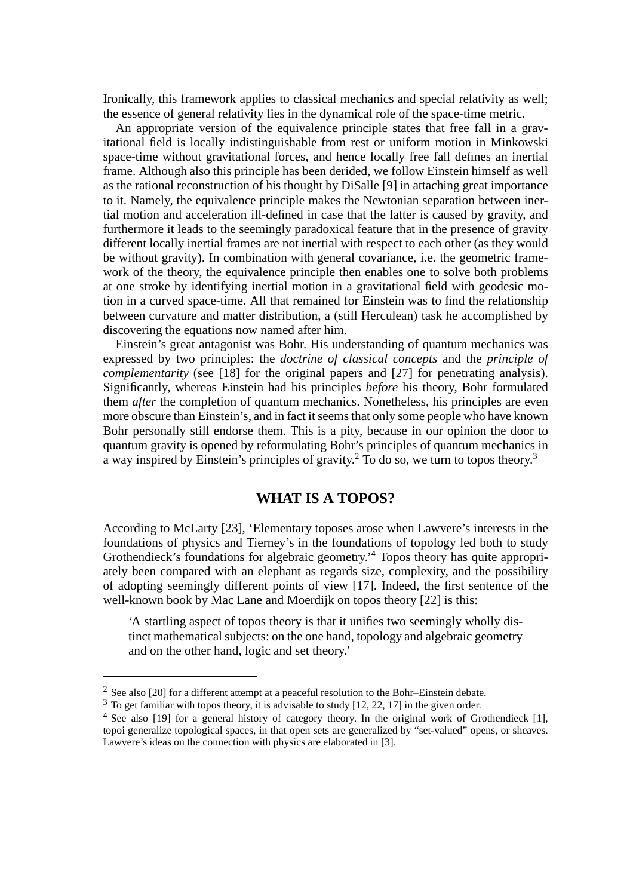Ironically, this framework applies to classical mechanics and special relativity as well; the essence of general relativity lies in the dynamical role of the space-time metric.

An appropriate version of the equivalence principle states that free fall in a gravitational field is locally indistinguishable from rest or uniform motion in Minkowski space-time without gravitational forces, and hence locally free fall defines an inertial frame. Although also this principle has been derided, we follow Einstein himself as well as the rational reconstruction of his thought by DiSalle [9] in attaching great importance to it. Namely, the equivalence principle makes the Newtonian separation between inertial motion and acceleration ill-defined in case that the latter is caused by gravity, and furthermore it leads to the seemingly paradoxical feature that in the presence of gravity different locally inertial frames are not inertial with respect to each other (as they would be without gravity). In combination with general covariance, i.e. the geometric framework of the theory, the equivalence principle then enables one to solve both problems at one stroke by identifying inertial motion in a gravitational field with geodesic motion in a curved space-time. All that remained for Einstein was to find the relationship between curvature and matter distribution, a (still Herculean) task he accomplished by discovering the equations now named after him.

Einstein's great antagonist was Bohr. His understanding of quantum mechanics was expressed by two principles: the *doctrine of classical concepts* and the *principle of complementarity* (see [18] for the original papers and [27] for penetrating analysis). Significantly, whereas Einstein had his principles *before* his theory, Bohr formulated them *after* the completion of quantum mechanics. Nonetheless, his principles are even more obscure than Einstein's, and in fact it seems that only some people who have known Bohr personally still endorse them. This is a pity, because in our opinion the door to quantum gravity is opened by reformulating Bohr's principles of quantum mechanics in a way inspired by Einstein's principles of gravity.<sup>2</sup> To do so, we turn to topos theory.<sup>3</sup>

### **WHAT IS A TOPOS?**

According to McLarty [23], 'Elementary toposes arose when Lawvere's interests in the foundations of physics and Tierney's in the foundations of topology led both to study Grothendieck's foundations for algebraic geometry.'<sup>4</sup> Topos theory has quite appropriately been compared with an elephant as regards size, complexity, and the possibility of adopting seemingly different points of view [17]. Indeed, the first sentence of the well-known book by Mac Lane and Moerdijk on topos theory [22] is this:

'A startling aspect of topos theory is that it unifies two seemingly wholly distinct mathematical subjects: on the one hand, topology and algebraic geometry and on the other hand, logic and set theory.'

 $2$  See also [20] for a different attempt at a peaceful resolution to the Bohr–Einstein debate.

<sup>&</sup>lt;sup>3</sup> To get familiar with topos theory, it is advisable to study [12, 22, 17] in the given order.

<sup>&</sup>lt;sup>4</sup> See also [19] for a general history of category theory. In the original work of Grothendieck [1], topoi generalize topological spaces, in that open sets are generalized by "set-valued" opens, or sheaves. Lawvere's ideas on the connection with physics are elaborated in [3].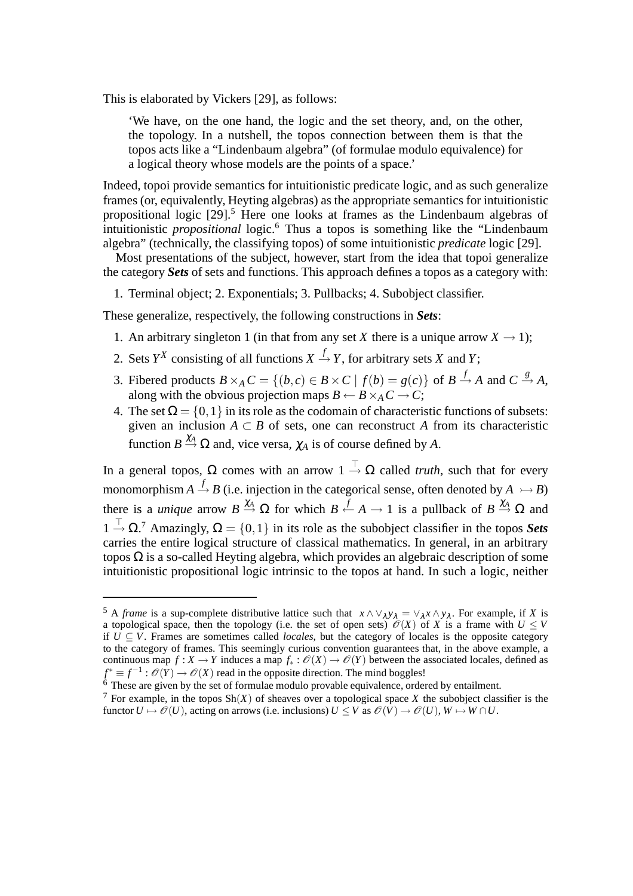This is elaborated by Vickers [29], as follows:

'We have, on the one hand, the logic and the set theory, and, on the other, the topology. In a nutshell, the topos connection between them is that the topos acts like a "Lindenbaum algebra" (of formulae modulo equivalence) for a logical theory whose models are the points of a space.'

Indeed, topoi provide semantics for intuitionistic predicate logic, and as such generalize frames (or, equivalently, Heyting algebras) as the appropriate semantics for intuitionistic propositional logic  $[29]$ <sup>5</sup>. Here one looks at frames as the Lindenbaum algebras of intuitionistic *propositional* logic.<sup>6</sup> Thus a topos is something like the "Lindenbaum algebra" (technically, the classifying topos) of some intuitionistic *predicate* logic [29].

Most presentations of the subject, however, start from the idea that topoi generalize the category *Sets* of sets and functions. This approach defines a topos as a category with:

1. Terminal object; 2. Exponentials; 3. Pullbacks; 4. Subobject classifier.

These generalize, respectively, the following constructions in *Sets*:

- 1. An arbitrary singleton 1 (in that from any set *X* there is a unique arrow  $X \rightarrow 1$ );
- 2. Sets  $Y^X$  consisting of all functions  $X \stackrel{f}{\rightarrow} Y$ , for arbitrary sets *X* and *Y*;
- 3. Fibered products  $B \times_A C = \{(b, c) \in B \times C \mid f(b) = g(c)\}$  of  $B \stackrel{f}{\to} A$  and  $C \stackrel{g}{\to} A$ , along with the obvious projection maps  $B \leftarrow B \times_A C \rightarrow C$ ;
- 4. The set  $\Omega = \{0, 1\}$  in its role as the codomain of characteristic functions of subsets: given an inclusion  $A \subset B$  of sets, one can reconstruct A from its characteristic function  $B \stackrel{\chi_A}{\rightarrow} \Omega$  and, vice versa,  $\chi_A$  is of course defined by A.

In a general topos,  $\Omega$  comes with an arrow  $1 \stackrel{\top}{\rightarrow} \Omega$  called *truth*, such that for every monomorphism  $A \stackrel{f}{\rightarrow} B$  (i.e. injection in the categorical sense, often denoted by  $A \rightarrow B$ ) there is a *unique* arrow  $B \xrightarrow{\chi_A} \Omega$  for which  $B \xleftarrow{f} A \to 1$  is a pullback of  $B \xrightarrow{\chi_A} \Omega$  and  $1 \stackrel{\top}{\rightarrow} \Omega$ .<sup>7</sup> Amazingly,  $\Omega = \{0, 1\}$  in its role as the subobject classifier in the topos Sets carries the entire logical structure of classical mathematics. In general, in an arbitrary topos  $\Omega$  is a so-called Heyting algebra, which provides an algebraic description of some intuitionistic propositional logic intrinsic to the topos at hand. In such a logic, neither

<sup>&</sup>lt;sup>5</sup> A *frame* is a sup-complete distributive lattice such that  $x \wedge \vee_{\lambda} y_{\lambda} = \vee_{\lambda} x \wedge y_{\lambda}$ . For example, if *X* is a topological space, then the topology (i.e. the set of open sets)  $\mathcal{O}(X)$  of X is a frame with  $U \leq V$ if  $U \subseteq V$ . Frames are sometimes called *locales*, but the category of locales is the opposite category to the category of frames. This seemingly curious convention guarantees that, in the above example, a continuous map  $f: X \to Y$  induces a map  $f_* : \mathcal{O}(X) \to \mathcal{O}(Y)$  between the associated locales, defined as  $f^* \equiv f^{-1}: \mathcal{O}(Y) \to \mathcal{O}(X)$  read in the opposite direction. The mind boggles!

 $6$  These are given by the set of formulae modulo provable equivalence, ordered by entailment.

<sup>&</sup>lt;sup>7</sup> For example, in the topos  $\text{Sh}(X)$  of sheaves over a topological space X the subobject classifier is the functor  $U \mapsto \mathcal{O}(U)$ , acting on arrows (i.e. inclusions)  $U \leq V$  as  $\mathcal{O}(\overline{V}) \to \mathcal{O}(U)$ ,  $W \mapsto W \cap U$ .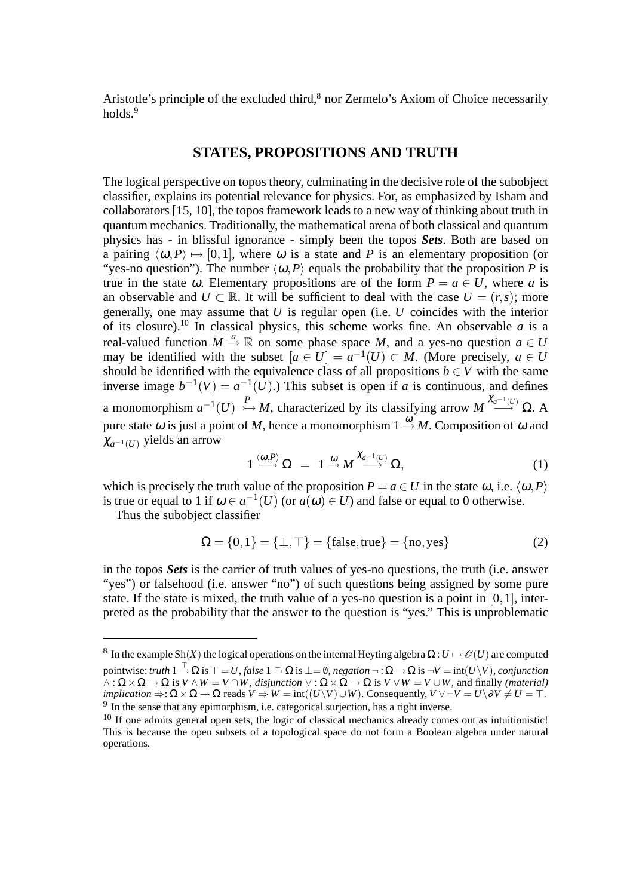Aristotle's principle of the excluded third, $\delta$  nor Zermelo's Axiom of Choice necessarily holds.<sup>9</sup>

## **STATES, PROPOSITIONS AND TRUTH**

The logical perspective on topos theory, culminating in the decisive role of the subobject classifier, explains its potential relevance for physics. For, as emphasized by Isham and collaborators [15, 10], the topos framework leads to a new way of thinking about truth in quantum mechanics. Traditionally, the mathematical arena of both classical and quantum physics has - in blissful ignorance - simply been the topos *Sets*. Both are based on a pairing  $\langle \omega, P \rangle \mapsto [0,1]$ , where  $\omega$  is a state and *P* is an elementary proposition (or "yes-no question"). The number  $\langle \omega, P \rangle$  equals the probability that the proposition *P* is true in the state  $\omega$ . Elementary propositions are of the form  $P = a \in U$ , where a is an observable and  $U \subset \mathbb{R}$ . It will be sufficient to deal with the case  $U = (r, s)$ ; more generally, one may assume that *U* is regular open (i.e. *U* coincides with the interior of its closure).<sup>10</sup> In classical physics, this scheme works fine. An observable  $a$  is a real-valued function  $M \xrightarrow{a} \mathbb{R}$  on some phase space M, and a yes-no question  $a \in U$ may be identified with the subset  $[a \in U] = a^{-1}(U) \subset M$ . (More precisely,  $a \in U$ should be identified with the equivalence class of all propositions  $b \in V$  with the same inverse image  $b^{-1}(V) = a^{-1}(U)$ .) This subset is open if *a* is continuous, and defines a monomorphism  $a^{-1}(U) \stackrel{P}{\rightarrow} M$ , characterized by its classifying arrow  $M \stackrel{\chi_{a^{-1}(U)}}{\longrightarrow} \Omega$ . A pure state  $\omega$  is just a point of *M*, hence a monomorphism  $1 \stackrel{\omega}{\rightarrow} M$ . Composition of  $\omega$  and χ*a*−<sup>1</sup> (*U*) yields an arrow

$$
1 \xrightarrow{\langle \omega, P \rangle} \Omega = 1 \xrightarrow{\omega} M \xrightarrow{\chi_{a^{-1}(U)}} \Omega,
$$
\n(1)

which is precisely the truth value of the proposition  $P = a \in U$  in the state  $\omega$ , i.e.  $\langle \omega, P \rangle$ is true or equal to 1 if  $\omega \in a^{-1}(U)$  (or  $a(\omega) \in U$ ) and false or equal to 0 otherwise.

Thus the subobject classifier

$$
\Omega = \{0, 1\} = \{\perp, \perp\} = \{\text{false}, \text{true}\} = \{\text{no}, \text{yes}\}\
$$
 (2)

in the topos *Sets* is the carrier of truth values of yes-no questions, the truth (i.e. answer "yes") or falsehood (i.e. answer "no") of such questions being assigned by some pure state. If the state is mixed, the truth value of a yes-no question is a point in  $[0,1]$ , interpreted as the probability that the answer to the question is "yes." This is unproblematic

<sup>&</sup>lt;sup>8</sup> In the example Sh(*X*) the logical operations on the internal Heyting algebra  $\Omega: U \mapsto \mathscr{O}(U)$  are computed  $\text{pointwise: } \textit{truth}\ 1 \stackrel{\top}{\rightarrow} \Omega \text{ is } \top = U, \textit{false}\ 1 \stackrel{\bot}{\rightarrow} \Omega \text{ is } \bot = \emptyset, \textit{negation} \neg : \Omega \rightarrow \Omega \text{ is } \neg V = \text{int}(U\setminus V), \textit{conjunction}$  $\overline{\Lambda}: \Omega \times \Omega \to \Omega$  is  $V \wedge W = V \cap \overline{W}$ , *disjunction*  $\vee : \Omega \times \overline{\Omega} \to \Omega$  is  $V \vee W = V \cup W$ , and finally *(material) implication*  $\Rightarrow$ :  $\Omega \times \Omega \rightarrow \Omega$  reads  $V \Rightarrow W = \text{int}((U\setminus V) \cup W)$ . Consequently,  $V \vee \neg V = U\setminus \partial V \neq U = \top$ . <sup>9</sup> In the sense that any epimorphism, i.e. categorical surjection, has a right inverse.

 $10$  If one admits general open sets, the logic of classical mechanics already comes out as intuitionistic! This is because the open subsets of a topological space do not form a Boolean algebra under natural operations.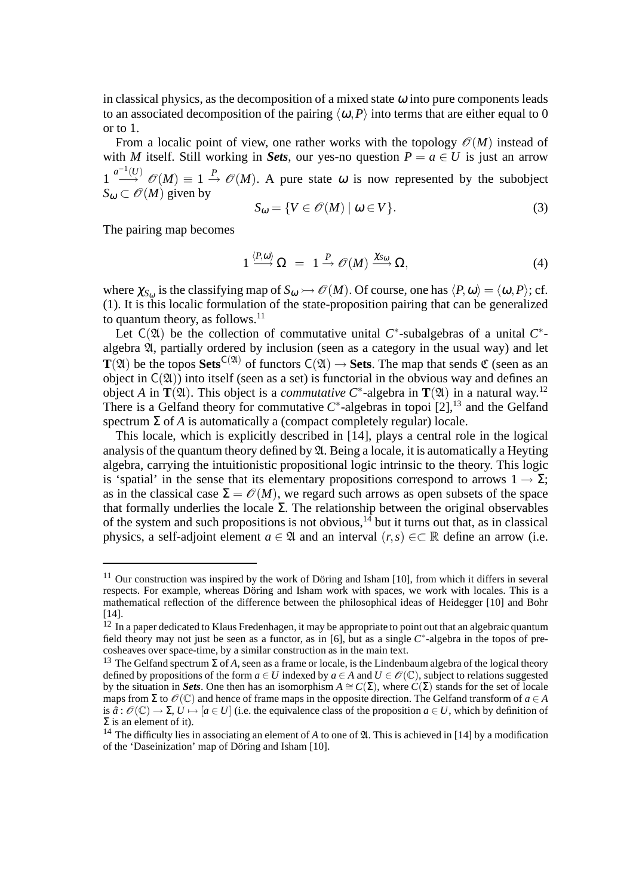in classical physics, as the decomposition of a mixed state  $\omega$  into pure components leads to an associated decomposition of the pairing  $\langle \omega, P \rangle$  into terms that are either equal to 0 or to 1.

From a localic point of view, one rather works with the topology  $\mathcal{O}(M)$  instead of with *M* itself. Still working in *Sets*, our yes-no question  $P = a \in U$  is just an arrow  $1 \stackrel{a^{-1}(U)}{\longrightarrow} O(M) \equiv 1 \stackrel{P}{\longrightarrow} O(M)$ . A pure state  $\omega$  is now represented by the subobject  $S_{\omega} \subset \mathcal{O}(M)$  given by

$$
S_{\omega} = \{ V \in \mathscr{O}(M) \mid \omega \in V \}.
$$
 (3)

The pairing map becomes

$$
1 \xrightarrow{\langle P,\omega \rangle} \Omega = 1 \xrightarrow{P} \mathcal{O}(M) \xrightarrow{\chi_{S\omega}} \Omega,
$$
 (4)

where  $\chi_{S_{\omega}}$  is the classifying map of  $S_{\omega} \rightarrow \mathcal{O}(M)$ . Of course, one has  $\langle P, \omega \rangle = \langle \omega, P \rangle$ ; cf. (1). It is this localic formulation of the state-proposition pairing that can be generalized to quantum theory, as follows. $^{11}$ 

Let  $C(\mathfrak{A})$  be the collection of commutative unital  $C^*$ -subalgebras of a unital  $C^*$ algebra  $\mathfrak A$ , partially ordered by inclusion (seen as a category in the usual way) and let  $T(\mathfrak{A})$  be the topos **Sets**<sup>C( $\mathfrak{A}$ ) of functors  $C(\mathfrak{A}) \to$  **Sets**. The map that sends  $\mathfrak{C}$  (seen as an</sup> object in  $C(2\mu)$  into itself (seen as a set) is functorial in the obvious way and defines an object *A* in  $\mathbf{T}(\mathfrak{A})$ . This object is a *commutative* C<sup>\*</sup>-algebra in  $\mathbf{T}(\mathfrak{A})$  in a natural way.<sup>12</sup> There is a Gelfand theory for commutative  $C^*$ -algebras in topoi [2],<sup>13</sup> and the Gelfand spectrum  $\Sigma$  of  $A$  is automatically a (compact completely regular) locale.

This locale, which is explicitly described in [14], plays a central role in the logical analysis of the quantum theory defined by  $\mathfrak{A}$ . Being a locale, it is automatically a Heyting algebra, carrying the intuitionistic propositional logic intrinsic to the theory. This logic is 'spatial' in the sense that its elementary propositions correspond to arrows  $1 \rightarrow \Sigma$ ; as in the classical case  $\Sigma = \mathcal{O}(M)$ , we regard such arrows as open subsets of the space that formally underlies the locale  $Σ$ . The relationship between the original observables of the system and such propositions is not obvious,<sup>14</sup> but it turns out that, as in classical physics, a self-adjoint element *a* ∈  $\mathfrak A$  and an interval  $(r, s) \in \subset \mathbb R$  define an arrow (i.e.

 $11$  Our construction was inspired by the work of Döring and Isham [10], from which it differs in several respects. For example, whereas Döring and Isham work with spaces, we work with locales. This is a mathematical reflection of the difference between the philosophical ideas of Heidegger [10] and Bohr [14].

 $12$  In a paper dedicated to Klaus Fredenhagen, it may be appropriate to point out that an algebraic quantum field theory may not just be seen as a functor, as in [6], but as a single  $C^*$ -algebra in the topos of precosheaves over space-time, by a similar construction as in the main text.

<sup>13</sup> The Gelfand spectrum Σ of *A*, seen as a frame or locale, is the Lindenbaum algebra of the logical theory defined by propositions of the form  $a \in U$  indexed by  $a \in A$  and  $U \in \mathcal{O}(\mathbb{C})$ , subject to relations suggested by the situation in *Sets*. One then has an isomorphism *A* ≃ *C*(Σ), where *C*(Σ) stands for the set of locale maps from  $\Sigma$  to  $\mathcal{O}(\mathbb{C})$  and hence of frame maps in the opposite direction. The Gelfand transform of  $a \in A$ is  $\hat{a}: \mathcal{O}(\mathbb{C}) \to \Sigma$ ,  $U \mapsto [a \in U]$  (i.e. the equivalence class of the proposition  $a \in U$ , which by definition of  $\Sigma$  is an element of it).

<sup>&</sup>lt;sup>14</sup> The difficulty lies in associating an element of *A* to one of  $\mathfrak{A}$ . This is achieved in [14] by a modification of the 'Daseinization' map of Döring and Isham [10].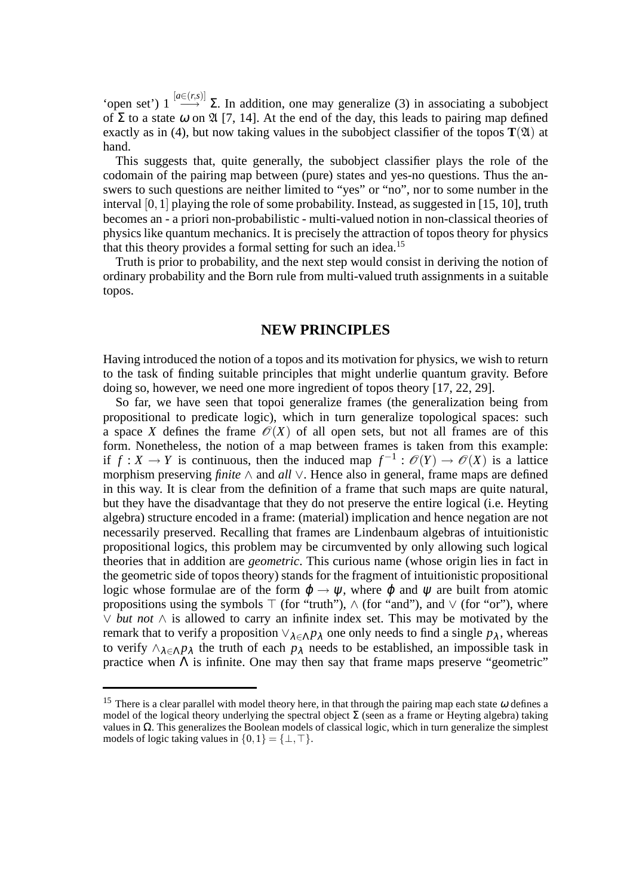'open set')  $1 \stackrel{[a \in (r,s)]}{\longrightarrow} \Sigma$ . In addition, one may generalize (3) in associating a subobject of  $\Sigma$  to a state  $\omega$  on  $\mathfrak{A}$  [7, 14]. At the end of the day, this leads to pairing map defined exactly as in (4), but now taking values in the subobject classifier of the topos  $\mathbf{T}(\mathfrak{A})$  at hand.

This suggests that, quite generally, the subobject classifier plays the role of the codomain of the pairing map between (pure) states and yes-no questions. Thus the answers to such questions are neither limited to "yes" or "no", nor to some number in the interval [0,1] playing the role of some probability. Instead, as suggested in [15, 10], truth becomes an - a priori non-probabilistic - multi-valued notion in non-classical theories of physics like quantum mechanics. It is precisely the attraction of topos theory for physics that this theory provides a formal setting for such an idea.<sup>15</sup>

Truth is prior to probability, and the next step would consist in deriving the notion of ordinary probability and the Born rule from multi-valued truth assignments in a suitable topos.

### **NEW PRINCIPLES**

Having introduced the notion of a topos and its motivation for physics, we wish to return to the task of finding suitable principles that might underlie quantum gravity. Before doing so, however, we need one more ingredient of topos theory [17, 22, 29].

So far, we have seen that topoi generalize frames (the generalization being from propositional to predicate logic), which in turn generalize topological spaces: such a space *X* defines the frame  $\mathcal{O}(X)$  of all open sets, but not all frames are of this form. Nonetheless, the notion of a map between frames is taken from this example: if  $f: X \to Y$  is continuous, then the induced map  $f^{-1}: \mathcal{O}(Y) \to \mathcal{O}(X)$  is a lattice morphism preserving *finite* ∧ and *all* ∨. Hence also in general, frame maps are defined in this way. It is clear from the definition of a frame that such maps are quite natural, but they have the disadvantage that they do not preserve the entire logical (i.e. Heyting algebra) structure encoded in a frame: (material) implication and hence negation are not necessarily preserved. Recalling that frames are Lindenbaum algebras of intuitionistic propositional logics, this problem may be circumvented by only allowing such logical theories that in addition are *geometric*. This curious name (whose origin lies in fact in the geometric side of topos theory) stands for the fragment of intuitionistic propositional logic whose formulae are of the form  $\varphi \to \psi$ , where  $\varphi$  and  $\psi$  are built from atomic propositions using the symbols  $\top$  (for "truth"),  $\wedge$  (for "and"), and  $\vee$  (for "or"), where ∨ *but not* ∧ is allowed to carry an infinite index set. This may be motivated by the remark that to verify a proposition  $\vee_{\lambda \in \Lambda} p_{\lambda}$  one only needs to find a single  $p_{\lambda}$ , whereas to verify  $\wedge_{\lambda \in \Lambda} p_{\lambda}$  the truth of each  $p_{\lambda}$  needs to be established, an impossible task in practice when  $\Lambda$  is infinite. One may then say that frame maps preserve "geometric"

<sup>&</sup>lt;sup>15</sup> There is a clear parallel with model theory here, in that through the pairing map each state  $\omega$  defines a model of the logical theory underlying the spectral object  $Σ$  (seen as a frame or Heyting algebra) taking values in Ω. This generalizes the Boolean models of classical logic, which in turn generalize the simplest models of logic taking values in  $\{0,1\} = \{\perp,\top\}.$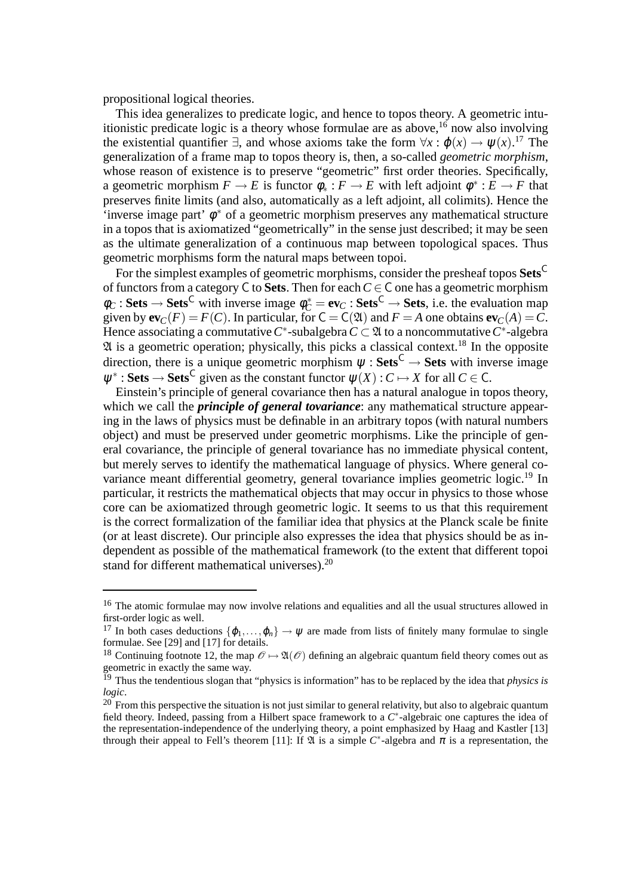propositional logical theories.

This idea generalizes to predicate logic, and hence to topos theory. A geometric intuitionistic predicate logic is a theory whose formulae are as above,  $16$  now also involving the existential quantifier  $\exists$ , and whose axioms take the form  $\forall x : \varphi(x) \to \psi(x)$ .<sup>17</sup> The generalization of a frame map to topos theory is, then, a so-called *geometric morphism*, whose reason of existence is to preserve "geometric" first order theories. Specifically, a geometric morphism  $F \to E$  is functor  $\phi_* : F \to E$  with left adjoint  $\phi^* : E \to F$  that preserves finite limits (and also, automatically as a left adjoint, all colimits). Hence the 'inverse image part'  $\phi^*$  of a geometric morphism preserves any mathematical structure in a topos that is axiomatized "geometrically" in the sense just described; it may be seen as the ultimate generalization of a continuous map between topological spaces. Thus geometric morphisms form the natural maps between topoi.

For the simplest examples of geometric morphisms, consider the presheaf topos **Sets**<sup>C</sup> of functors from a category C to **Sets**. Then for each  $C \in \mathsf{C}$  one has a geometric morphism  $\phi_C$ : **Sets**  $\rightarrow$  **Sets**<sup>C</sup> with inverse image  $\phi_C^* = ev_C$ : **Sets**<sup>C</sup>  $\rightarrow$  **Sets**, i.e. the evaluation map given by  $ev_C(F) = F(C)$ . In particular, for  $C = C(\mathfrak{A})$  and  $F = A$  one obtains  $ev_C(A) = C$ . Hence associating a commutative C<sup>\*</sup>-subalgebra  $C \subset \mathfrak{A}$  to a noncommutative C<sup>\*</sup>-algebra  $\overline{\mathfrak{A}}$  is a geometric operation; physically, this picks a classical context.<sup>18</sup> In the opposite direction, there is a unique geometric morphism  $\psi$ : **Sets**<sup>C</sup>  $\rightarrow$  **Sets** with inverse image  $\psi^*$ : **Sets**  $\rightarrow$  **Sets**<sup>C</sup> given as the constant functor  $\psi(X)$ : *C*  $\mapsto$  *X* for all *C*  $\in$  *C*.

Einstein's principle of general covariance then has a natural analogue in topos theory, which we call the *principle of general tovariance*: any mathematical structure appearing in the laws of physics must be definable in an arbitrary topos (with natural numbers object) and must be preserved under geometric morphisms. Like the principle of general covariance, the principle of general tovariance has no immediate physical content, but merely serves to identify the mathematical language of physics. Where general covariance meant differential geometry, general tovariance implies geometric logic.<sup>19</sup> In particular, it restricts the mathematical objects that may occur in physics to those whose core can be axiomatized through geometric logic. It seems to us that this requirement is the correct formalization of the familiar idea that physics at the Planck scale be finite (or at least discrete). Our principle also expresses the idea that physics should be as independent as possible of the mathematical framework (to the extent that different topoi stand for different mathematical universes). $20$ 

<sup>&</sup>lt;sup>16</sup> The atomic formulae may now involve relations and equalities and all the usual structures allowed in first-order logic as well.

<sup>&</sup>lt;sup>17</sup> In both cases deductions  $\{\varphi_1,\ldots,\varphi_n\} \to \psi$  are made from lists of finitely many formulae to single formulae. See [29] and [17] for details.

<sup>&</sup>lt;sup>18</sup> Continuing footnote 12, the map  $\mathcal{O} \mapsto \mathfrak{A}(\mathcal{O})$  defining an algebraic quantum field theory comes out as geometric in exactly the same way.

<sup>19</sup> Thus the tendentious slogan that "physics is information" has to be replaced by the idea that *physics is logic*.

 $20$  From this perspective the situation is not just similar to general relativity, but also to algebraic quantum field theory. Indeed, passing from a Hilbert space framework to a C<sup>\*</sup>-algebraic one captures the idea of the representation-independence of the underlying theory, a point emphasized by Haag and Kastler [13] through their appeal to Fell's theorem [11]: If  $\mathfrak A$  is a simple  $C^*$ -algebra and  $\pi$  is a representation, the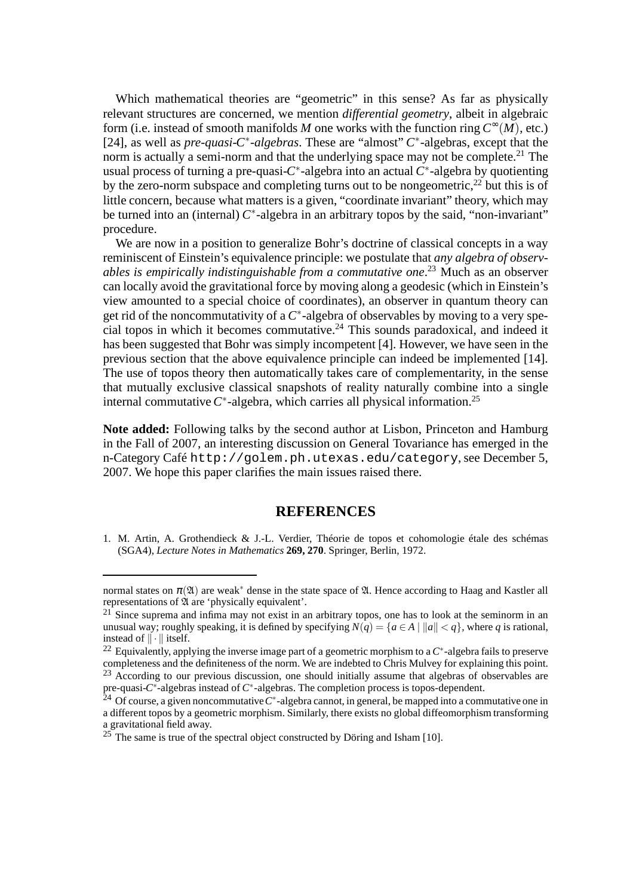Which mathematical theories are "geometric" in this sense? As far as physically relevant structures are concerned, we mention *differential geometry*, albeit in algebraic form (i.e. instead of smooth manifolds *M* one works with the function ring  $C^{\infty}(M)$ , etc.) [24], as well as *pre-quasi-C<sup>∗</sup>-algebras*. These are "almost" *C*<sup>∗</sup>-algebras, except that the norm is actually a semi-norm and that the underlying space may not be complete.<sup>21</sup> The usual process of turning a pre-quasi-*C* ∗ -algebra into an actual *C* ∗ -algebra by quotienting by the zero-norm subspace and completing turns out to be nongeometric,  $22$  but this is of little concern, because what matters is a given, "coordinate invariant" theory, which may be turned into an (internal)  $C^*$ -algebra in an arbitrary topos by the said, "non-invariant" procedure.

We are now in a position to generalize Bohr's doctrine of classical concepts in a way reminiscent of Einstein's equivalence principle: we postulate that *any algebra of observables is empirically indistinguishable from a commutative one*. <sup>23</sup> Much as an observer can locally avoid the gravitational force by moving along a geodesic (which in Einstein's view amounted to a special choice of coordinates), an observer in quantum theory can get rid of the noncommutativity of a C<sup>\*</sup>-algebra of observables by moving to a very special topos in which it becomes commutative.<sup>24</sup> This sounds paradoxical, and indeed it has been suggested that Bohr was simply incompetent [4]. However, we have seen in the previous section that the above equivalence principle can indeed be implemented [14]. The use of topos theory then automatically takes care of complementarity, in the sense that mutually exclusive classical snapshots of reality naturally combine into a single internal commutative  $C^*$ -algebra, which carries all physical information.<sup>25</sup>

**Note added:** Following talks by the second author at Lisbon, Princeton and Hamburg in the Fall of 2007, an interesting discussion on General Tovariance has emerged in the n-Category Café http://golem.ph.utexas.edu/category, see December 5, 2007. We hope this paper clarifies the main issues raised there.

### **REFERENCES**

1. M. Artin, A. Grothendieck & J.-L. Verdier, Théorie de topos et cohomologie étale des schémas (SGA4), *Lecture Notes in Mathematics* **269, 270**. Springer, Berlin, 1972.

normal states on  $\pi(\mathfrak{A})$  are weak<sup>\*</sup> dense in the state space of  $\mathfrak{A}$ . Hence according to Haag and Kastler all representations of  $\mathfrak A$  are 'physically equivalent'.

 $21$  Since suprema and infima may not exist in an arbitrary topos, one has to look at the seminorm in an unusual way; roughly speaking, it is defined by specifying  $N(q) = \{a \in A \mid ||a|| < q\}$ , where *q* is rational, instead of  $\|\cdot\|$  itself.

 $^{22}$  Equivalently, applying the inverse image part of a geometric morphism to a  $C^*$ -algebra fails to preserve completeness and the definiteness of the norm. We are indebted to Chris Mulvey for explaining this point.  $23$  According to our previous discussion, one should initially assume that algebras of observables are

pre-quasi-*C*<sup>∗</sup>-algebras instead of *C*<sup>∗</sup>-algebras. The completion process is topos-dependent.

<sup>&</sup>lt;sup>24</sup> Of course, a given noncommutative  $C^*$ -algebra cannot, in general, be mapped into a commutative one in a different topos by a geometric morphism. Similarly, there exists no global diffeomorphism transforming a gravitational field away.

 $25$  The same is true of the spectral object constructed by Döring and Isham [10].